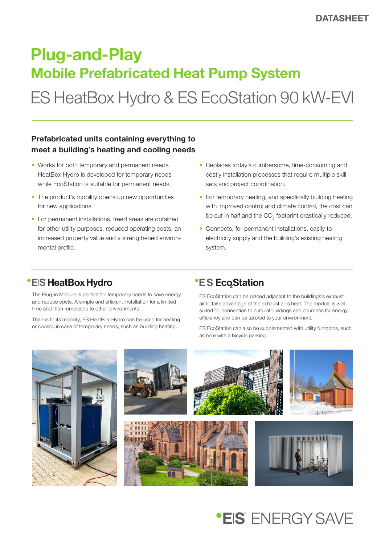# Plug-and-Play Mobile Prefabricated Heat Pump System

ES HeatBox Hydro & ES EcoStation 90 kW-EVI

### Prefabricated units containing everything to meet a building's heating and cooling needs

- Works for both temporary and permanent needs. HeatBox Hydro is developed for temporary needs while EcoStation is suitable for permanent needs.
- The product's mobility opens up new opportunities for new applications.
- For permanent installations, freed areas are obtained for other utility purposes, reduced operating costs, an increased property value and a strengthened environmental profile.
- Replaces today's cumbersome, time-consuming and costly installation processes that require multiple skill sets and project coordination.
- For temporary heating, and specifically building heating with improved control and climate control, the cost can be cut in half and the  $\mathrm{CO}_2$  footprint drastically reduced.
- Connects, for permanent installations, easily to electricity supply and the building's existing heating system.

## **\*EIS HeatBox Hydro**

The Plug-in Module is perfect for temporary needs to save energy and reduce costs. A simple and efficient installation for a limited time and then removable to other environments.

Thanks to its mobility, ES HeatBox Hydro can be used for heating or cooling in case of temporary needs, such as building heating.

## **\*EIS EcoStation**

ES EcoStation can be placed adjacent to the buildings's exhaust air to take advantage of the exhaust air's heat. The module is well suited for connection to cultural buildings and churches for energy efficiency and can be tailored to your environment.

ES EcoStation can also be supplemented with utility functions, such as here with a bicycle parking.



# **\*EIS** FNFRGY SAVF